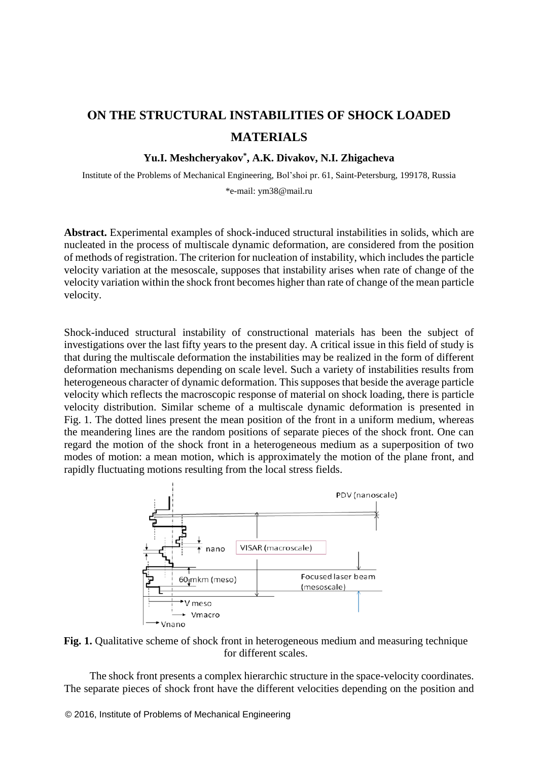## **ОN THE STRUCTURAL INSTABILITIES OF SHOCK LOADED MATERIALS**

## **Yu.I. Meshcheryakov\* , A.K. Divakov, N.I. Zhigacheva**

Institute of the Problems of Mechanical Engineering, Bol'shoi pr. 61, Saint-Petersburg, 199178, Russia \*e-mail: ym38@mail.ru

**Abstract.** Experimental examples of shock-induced structural instabilities in solids, which are nucleated in the process of multiscale dynamic deformation, are considered from the position of methods of registration. The criterion for nucleation of instability, which includes the particle velocity variation at the mesoscale, supposes that instability arises when rate of change of the velocity variation within the shock front becomes higher than rate of change of the mean particle velocity.

Shock-induced structural instability of constructional materials has been the subject of investigations over the last fifty years to the present day. A critical issue in this field of study is that during the multiscale deformation the instabilities may be realized in the form of different deformation mechanisms depending on scale level. Such a variety of instabilities results from heterogeneous character of dynamic deformation. This supposes that beside the average particle velocity which reflects the macroscopic response of material on shock loading, there is particle velocity distribution. Similar scheme of a multiscale dynamic deformation is presented in Fig. 1. The dotted lines present the mean position of the front in a uniform medium, whereas the meandering lines are the random positions of separate pieces of the shock front. One can regard the motion of the shock front in a heterogeneous medium as a superposition of two modes of motion: a mean motion, which is approximately the motion of the plane front, and rapidly fluctuating motions resulting from the local stress fields.



**Fig. 1.** Qualitative scheme of shock front in heterogeneous medium and measuring technique for different scales.

The shock front presents a complex hierarchic structure in the space-velocity coordinates. The separate pieces of shock front have the different velocities depending on the position and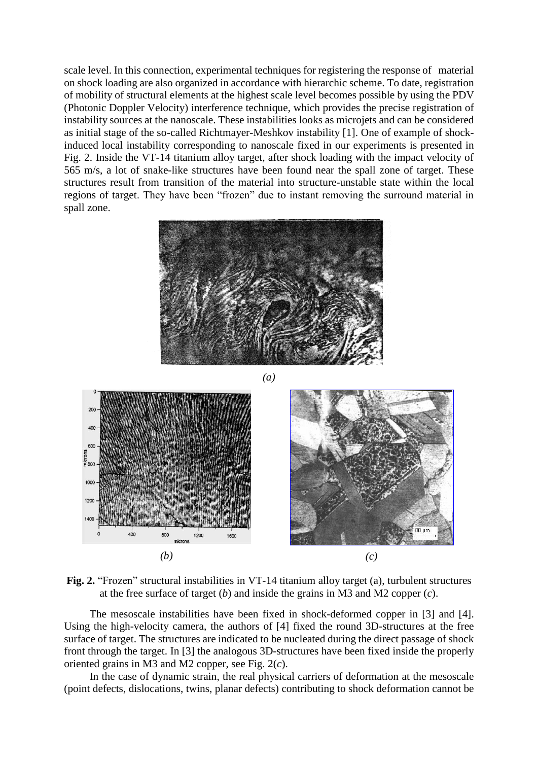scale level. In this connection, experimental techniques for registering the response of material on shock loading are also organized in accordance with hierarchic scheme. To date, registration of mobility of structural elements at the highest scale level becomes possible by using the PDV (Photonic Doppler Velocity) interference technique, which provides the precise registration of instability sources at the nanoscale. These instabilities looks as microjets and can be considered as initial stage of the so-called Richtmayer-Meshkov instability [1]. One of example of shockinduced local instability corresponding to nanoscale fixed in our experiments is presented in Fig. 2. Inside the VT-14 titanium alloy target, after shock loading with the impact velocity of 565 m/s, a lot of snake-like structures have been found near the spall zone of target. These structures result from transition of the material into structure-unstable state within the local regions of target. They have been "frozen" due to instant removing the surround material in spall zone.







**Fig. 2.** "Frozen" structural instabilities in VT-14 titanium alloy target (a), turbulent structures at the free surface of target (*b*) and inside the grains in M3 and M2 copper (*c*).

The mesoscale instabilities have been fixed in shock-deformed copper in [3] and [4]. Using the high-velocity camera, the authors of [4] fixed the round 3D-structures at the free surface of target. The structures are indicated to be nucleated during the direct passage of shock front through the target. In [3] the analogous 3D-structures have been fixed inside the properly oriented grains in M3 and M2 copper, see Fig. 2(*c*).

In the case of dynamic strain, the real physical carriers of deformation at the mesoscale (point defects, dislocations, twins, planar defects) contributing to shock deformation cannot be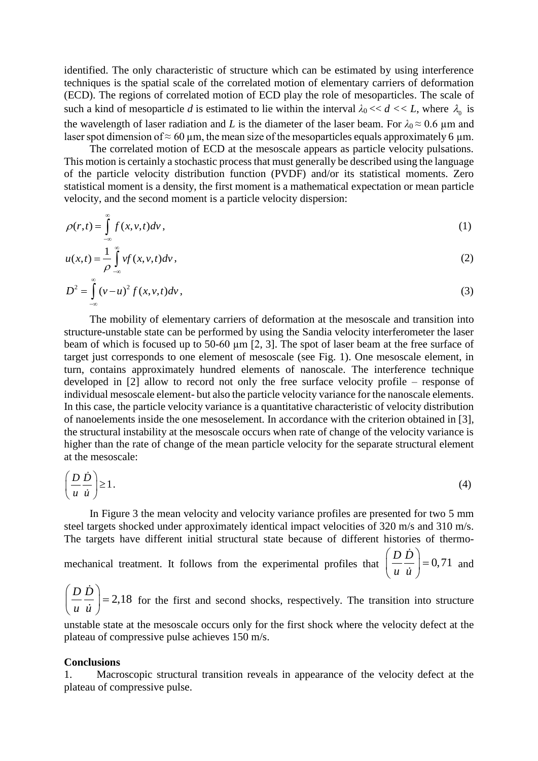identified. The only characteristic of structure which can be estimated by using interference techniques is the spatial scale of the correlated motion of elementary carriers of deformation (ECD). The regions of correlated motion of ECD play the role of mesoparticles. The scale of such a kind of mesoparticle *d* is estimated to lie within the interval  $\lambda_0 \ll d \ll L$ , where  $\lambda_0$  is the wavelength of laser radiation and *L* is the diameter of the laser beam. For  $\lambda_0 \approx 0.6$  µm and laser spot dimension of  $\approx 60 \text{ µm}$ , the mean size of the mesoparticles equals approximately 6  $\mu$ m.

The correlated motion of ECD at the mesoscale appears as particle velocity pulsations. This motion is certainly a stochastic process that must generally be described using the language of the particle velocity distribution function (PVDF) and/or its statistical moments. Zero statistical moment is a density, the first moment is a mathematical expectation or mean particle velocity, and the second moment is a particle velocity dispersion:

$$
\rho(r,t) = \int_{-\infty}^{\infty} f(x, v, t) dv,
$$
\n(1)

$$
u(x,t) = \frac{1}{\rho} \int_{-\infty}^{\infty} v f(x, v, t) dv,
$$
\n(2)

$$
D^{2} = \int_{-\infty}^{\infty} (v - u)^{2} f(x, v, t) dv,
$$
\n(3)

The mobility of elementary carriers of deformation at the mesoscale and transition into structure-unstable state can be performed by using the Sandia velocity interferometer the laser beam of which is focused up to 50-60  $\mu$ m [2, 3]. The spot of laser beam at the free surface of target just corresponds to one element of mesoscale (see Fig. 1). One mesoscale element, in turn, contains approximately hundred elements of nanoscale. The interference technique developed in [2] allow to record not only the free surface velocity profile – response of individual mesoscale element- but also the particle velocity variance for the nanoscale elements. In this case, the particle velocity variance is a quantitative characteristic of velocity distribution of nanoelements inside the one mesoselement. In accordance with the criterion obtained in [3], the structural instability at the mesoscale occurs when rate of change of the velocity variance is higher than the rate of change of the mean particle velocity for the separate structural element at the mesoscale:

$$
\left(\frac{D\,\dot{D}}{u\,\dot{u}}\right) \geq 1\,. \tag{4}
$$

In Figure 3 the mean velocity and velocity variance profiles are presented for two 5 mm steel targets shocked under approximately identical impact velocities of 320 m/s and 310 m/s. The targets have different initial structural state because of different histories of thermo-

mechanical treatment. It follows from the experimental profiles that  $\left(\frac{D}{m}\right) = 0, 71$  $\left(\frac{D \dot{D}}{u \dot{u}}\right)$  =  $\left(u\ u\right)$ and

 $\left(\frac{D}{2}\right)^{2}$  = 2,18  $\left(\frac{D\dot{D}}{u\dot{u}}\right)$  =  $\left(u\,\,u\,\right)$ for the first and second shocks, respectively. The transition into structure

unstable state at the mesoscale occurs only for the first shock where the velocity defect at the plateau of compressive pulse achieves 150 m/s.

## **Conclusions**

1. Macroscopic structural transition reveals in appearance of the velocity defect at the plateau of compressive pulse.